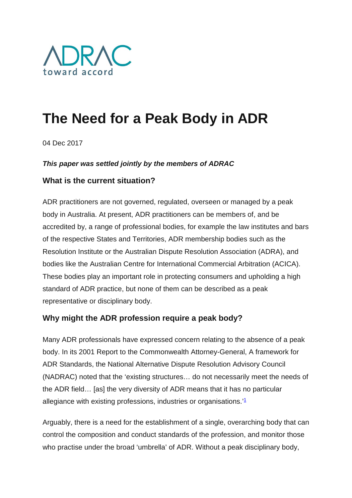

# **The Need for a Peak Body in ADR**

04 Dec 2017

## *This paper was settled jointly by the members of ADRAC*

# **What is the current situation?**

ADR practitioners are not governed, regulated, overseen or managed by a peak body in Australia. At present, ADR practitioners can be members of, and be accredited by, a range of professional bodies, for example the law institutes and bars of the respective States and Territories, ADR membership bodies such as the Resolution Institute or the Australian Dispute Resolution Association (ADRA), and bodies like the Australian Centre for International Commercial Arbitration (ACICA). These bodies play an important role in protecting consumers and upholding a high standard of ADR practice, but none of them can be described as a peak representative or disciplinary body.

# **Why might the ADR profession require a peak body?**

Many ADR professionals have expressed concern relating to the absence of a peak body. In its 2001 Report to the Commonwealth Attorney-General, A framework for ADR Standards, the National Alternative Dispute Resolution Advisory Council (NADRAC) noted that the 'existing structures… do not necessarily meet the needs of the ADR field… [as] the very diversity of ADR means that it has no particular allegiance with existing professions, industries or organisations.['1](http://www.adrac.org.au/adr-mapping/the-need-for-a-peak-body-in-adr#note1)

Arguably, there is a need for the establishment of a single, overarching body that can control the composition and conduct standards of the profession, and monitor those who practise under the broad 'umbrella' of ADR. Without a peak disciplinary body,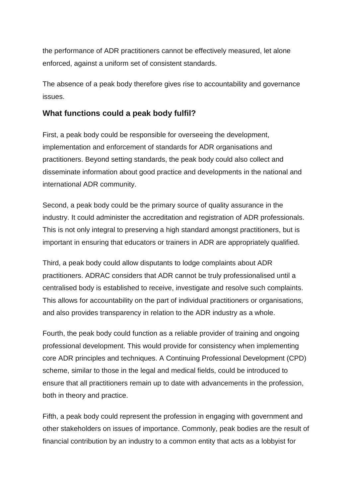the performance of ADR practitioners cannot be effectively measured, let alone enforced, against a uniform set of consistent standards.

The absence of a peak body therefore gives rise to accountability and governance issues.

#### **What functions could a peak body fulfil?**

First, a peak body could be responsible for overseeing the development, implementation and enforcement of standards for ADR organisations and practitioners. Beyond setting standards, the peak body could also collect and disseminate information about good practice and developments in the national and international ADR community.

Second, a peak body could be the primary source of quality assurance in the industry. It could administer the accreditation and registration of ADR professionals. This is not only integral to preserving a high standard amongst practitioners, but is important in ensuring that educators or trainers in ADR are appropriately qualified.

Third, a peak body could allow disputants to lodge complaints about ADR practitioners. ADRAC considers that ADR cannot be truly professionalised until a centralised body is established to receive, investigate and resolve such complaints. This allows for accountability on the part of individual practitioners or organisations, and also provides transparency in relation to the ADR industry as a whole.

Fourth, the peak body could function as a reliable provider of training and ongoing professional development. This would provide for consistency when implementing core ADR principles and techniques. A Continuing Professional Development (CPD) scheme, similar to those in the legal and medical fields, could be introduced to ensure that all practitioners remain up to date with advancements in the profession, both in theory and practice.

Fifth, a peak body could represent the profession in engaging with government and other stakeholders on issues of importance. Commonly, peak bodies are the result of financial contribution by an industry to a common entity that acts as a lobbyist for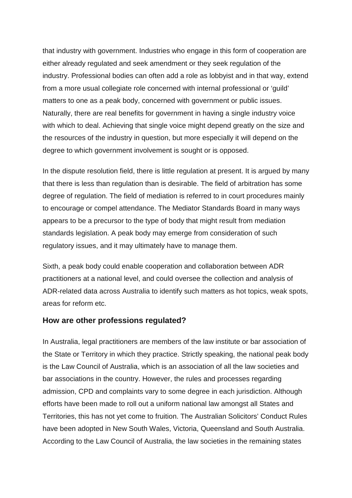that industry with government. Industries who engage in this form of cooperation are either already regulated and seek amendment or they seek regulation of the industry. Professional bodies can often add a role as lobbyist and in that way, extend from a more usual collegiate role concerned with internal professional or 'guild' matters to one as a peak body, concerned with government or public issues. Naturally, there are real benefits for government in having a single industry voice with which to deal. Achieving that single voice might depend greatly on the size and the resources of the industry in question, but more especially it will depend on the degree to which government involvement is sought or is opposed.

In the dispute resolution field, there is little regulation at present. It is argued by many that there is less than regulation than is desirable. The field of arbitration has some degree of regulation. The field of mediation is referred to in court procedures mainly to encourage or compel attendance. The Mediator Standards Board in many ways appears to be a precursor to the type of body that might result from mediation standards legislation. A peak body may emerge from consideration of such regulatory issues, and it may ultimately have to manage them.

Sixth, a peak body could enable cooperation and collaboration between ADR practitioners at a national level, and could oversee the collection and analysis of ADR-related data across Australia to identify such matters as hot topics, weak spots, areas for reform etc.

#### **How are other professions regulated?**

In Australia, legal practitioners are members of the law institute or bar association of the State or Territory in which they practice. Strictly speaking, the national peak body is the Law Council of Australia, which is an association of all the law societies and bar associations in the country. However, the rules and processes regarding admission, CPD and complaints vary to some degree in each jurisdiction. Although efforts have been made to roll out a uniform national law amongst all States and Territories, this has not yet come to fruition. The Australian Solicitors' Conduct Rules have been adopted in New South Wales, Victoria, Queensland and South Australia. According to the Law Council of Australia, the law societies in the remaining states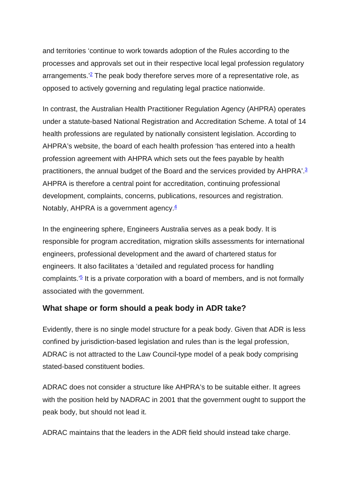and territories 'continue to work towards adoption of the Rules according to the processes and approvals set out in their respective local legal profession regulatory arrangements.<sup> $2$ </sup> The peak body therefore serves more of a representative role, as opposed to actively governing and regulating legal practice nationwide.

In contrast, the Australian Health Practitioner Regulation Agency (AHPRA) operates under a statute-based National Registration and Accreditation Scheme. A total of 14 health professions are regulated by nationally consistent legislation. According to AHPRA's website, the board of each health profession 'has entered into a health profession agreement with AHPRA which sets out the fees payable by health practitioners, the annual budget of the Board and the services provided by AHPRA'[.3](http://www.adrac.org.au/adr-mapping/the-need-for-a-peak-body-in-adr#note3) AHPRA is therefore a central point for accreditation, continuing professional development, complaints, concerns, publications, resources and registration. Notably, AHPRA is a government agency. $4$ 

In the engineering sphere, Engineers Australia serves as a peak body. It is responsible for program accreditation, migration skills assessments for international engineers, professional development and the award of chartered status for engineers. It also facilitates a 'detailed and regulated process for handling complaints.<sup> $2\overline{5}$ </sup> It is a private corporation with a board of members, and is not formally associated with the government.

# **What shape or form should a peak body in ADR take?**

Evidently, there is no single model structure for a peak body. Given that ADR is less confined by jurisdiction-based legislation and rules than is the legal profession, ADRAC is not attracted to the Law Council-type model of a peak body comprising stated-based constituent bodies.

ADRAC does not consider a structure like AHPRA's to be suitable either. It agrees with the position held by NADRAC in 2001 that the government ought to support the peak body, but should not lead it.

ADRAC maintains that the leaders in the ADR field should instead take charge.